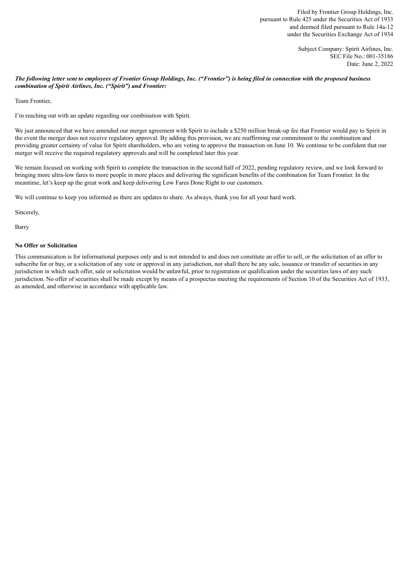Filed by Frontier Group Holdings, Inc. pursuant to Rule 425 under the Securities Act of 1933 and deemed filed pursuant to Rule 14a-12 under the Securities Exchange Act of 1934

> Subject Company: Spirit Airlines, Inc. SEC File No.: 001-35186 Date: June 2, 2022

## The following letter sent to employees of Frontier Group Holdings, Inc. ("Frontier") is being filed in connection with the proposed business *combination of Spirit Airlines, Inc. ("Spirit") and Frontier:*

Team Frontier,

I'm reaching out with an update regarding our combination with Spirit.

We just announced that we have amended our merger agreement with Spirit to include a \$250 million break-up fee that Frontier would pay to Spirit in the event the merger does not receive regulatory approval. By adding this provision, we are reaffirming our commitment to the combination and providing greater certainty of value for Spirit shareholders, who are voting to approve the transaction on June 10. We continue to be confident that our merger will receive the required regulatory approvals and will be completed later this year.

We remain focused on working with Spirit to complete the transaction in the second half of 2022, pending regulatory review, and we look forward to bringing more ultra-low fares to more people in more places and delivering the significant benefits of the combination for Team Frontier. In the meantime, let's keep up the great work and keep delivering Low Fares Done Right to our customers.

We will continue to keep you informed as there are updates to share. As always, thank you for all your hard work.

Sincerely,

Barry

# **No Offer or Solicitation**

This communication is for informational purposes only and is not intended to and does not constitute an offer to sell, or the solicitation of an offer to subscribe for or buy, or a solicitation of any vote or approval in any jurisdiction, nor shall there be any sale, issuance or transfer of securities in any jurisdiction in which such offer, sale or solicitation would be unlawful, prior to registration or qualification under the securities laws of any such jurisdiction. No offer of securities shall be made except by means of a prospectus meeting the requirements of Section 10 of the Securities Act of 1933, as amended, and otherwise in accordance with applicable law.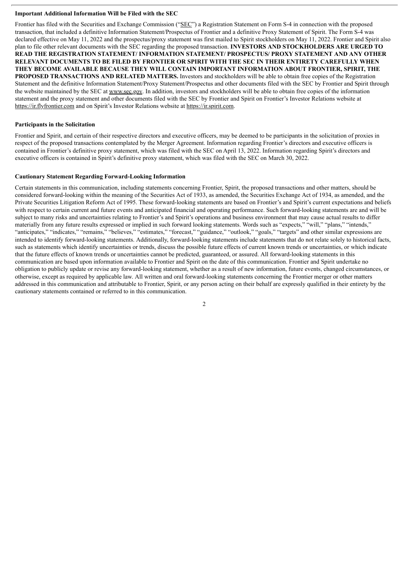## **Important Additional Information Will be Filed with the SEC**

Frontier has filed with the Securities and Exchange Commission ("SEC") a Registration Statement on Form S-4 in connection with the proposed transaction, that included a definitive Information Statement/Prospectus of Frontier and a definitive Proxy Statement of Spirit. The Form S-4 was declared effective on May 11, 2022 and the prospectus/proxy statement was first mailed to Spirit stockholders on May 11, 2022. Frontier and Spirit also plan to file other relevant documents with the SEC regarding the proposed transaction. **INVESTORS AND STOCKHOLDERS ARE URGED TO READ THE REGISTRATION STATEMENT/ INFORMATION STATEMENT/ PROSPECTUS/ PROXY STATEMENT AND ANY OTHER RELEVANT DOCUMENTS TO BE FILED BY FRONTIER OR SPIRIT WITH THE SEC IN THEIR ENTIRETY CAREFULLY WHEN THEY BECOME AVAILABLE BECAUSE THEY WILL CONTAIN IMPORTANT INFORMATION ABOUT FRONTIER, SPIRIT, THE PROPOSED TRANSACTIONS AND RELATED MATTERS.** Investors and stockholders will be able to obtain free copies of the Registration Statement and the definitive Information Statement/Proxy Statement/Prospectus and other documents filed with the SEC by Frontier and Spirit through the website maintained by the SEC at www.sec.gov. In addition, investors and stockholders will be able to obtain free copies of the information statement and the proxy statement and other documents filed with the SEC by Frontier and Spirit on Frontier's Investor Relations website at https://ir.flyfrontier.com and on Spirit's Investor Relations website at https://ir.spirit.com.

## **Participants in the Solicitation**

Frontier and Spirit, and certain of their respective directors and executive officers, may be deemed to be participants in the solicitation of proxies in respect of the proposed transactions contemplated by the Merger Agreement. Information regarding Frontier's directors and executive officers is contained in Frontier's definitive proxy statement, which was filed with the SEC on April 13, 2022. Information regarding Spirit's directors and executive officers is contained in Spirit's definitive proxy statement, which was filed with the SEC on March 30, 2022.

#### **Cautionary Statement Regarding Forward-Looking Information**

Certain statements in this communication, including statements concerning Frontier, Spirit, the proposed transactions and other matters, should be considered forward-looking within the meaning of the Securities Act of 1933, as amended, the Securities Exchange Act of 1934, as amended, and the Private Securities Litigation Reform Act of 1995. These forward-looking statements are based on Frontier's and Spirit's current expectations and beliefs with respect to certain current and future events and anticipated financial and operating performance. Such forward-looking statements are and will be subject to many risks and uncertainties relating to Frontier's and Spirit's operations and business environment that may cause actual results to differ materially from any future results expressed or implied in such forward looking statements. Words such as "expects," "will," "plans," "intends," "anticipates," "indicates," "remains," "believes," "estimates," "forecast," "guidance," "outlook," "goals," "targets" and other similar expressions are intended to identify forward-looking statements. Additionally, forward-looking statements include statements that do not relate solely to historical facts, such as statements which identify uncertainties or trends, discuss the possible future effects of current known trends or uncertainties, or which indicate that the future effects of known trends or uncertainties cannot be predicted, guaranteed, or assured. All forward-looking statements in this communication are based upon information available to Frontier and Spirit on the date of this communication. Frontier and Spirit undertake no obligation to publicly update or revise any forward-looking statement, whether as a result of new information, future events, changed circumstances, or otherwise, except as required by applicable law. All written and oral forward-looking statements concerning the Frontier merger or other matters addressed in this communication and attributable to Frontier, Spirit, or any person acting on their behalf are expressly qualified in their entirety by the cautionary statements contained or referred to in this communication.

2